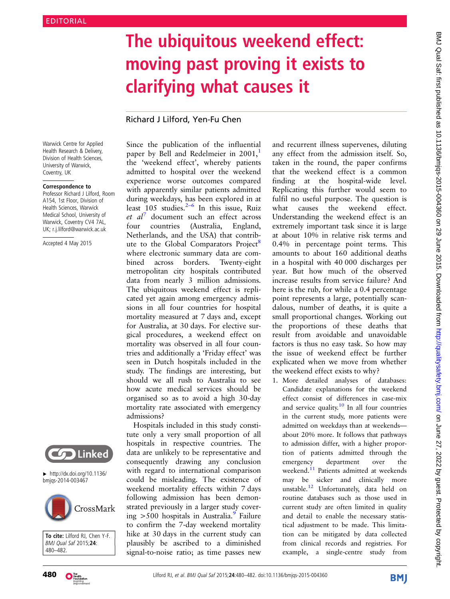## The ubiquitous weekend effect: moving past proving it exists to clarifying what causes it

Richard J Lilford, Yen-Fu Chen

Warwick Centre for Applied Health Research & Delivery, Division of Health Sciences, University of Warwick, Coventry, UK

## Correspondence to

Professor Richard J Lilford, Room A154, 1st Floor, Division of Health Sciences, Warwick Medical School, University of Warwick, Coventry CV4 7AL, UK; r.j.lilford@warwick.ac.uk

Accepted 4 May 2015



 $\blacktriangleright$  [http://dx.doi.org/10.1136/](http://dx.doi.org/10.1136/bmjqs-2014-003467) [bmjqs-2014-003467](http://dx.doi.org/10.1136/bmjqs-2014-003467)



To cite: Lilford RJ, Chen Y-F. BMJ Qual Saf 2015;24: 480–482.

Since the publication of the influential paper by Bell and Redelmeier in 200[1](#page-1-0),<sup>1</sup> the 'weekend effect', whereby patients admitted to hospital over the weekend experience worse outcomes compared with apparently similar patients admitted during weekdays, has been explored in at least  $105$  studies.<sup>[2](#page-1-0)–6</sup> In this issue, Ruiz et  $al^7$  $al^7$  document such an effect across four countries (Australia, England, Netherlands, and the USA) that contrib-ute to the Global Comparators Project<sup>[8](#page-2-0)</sup> where electronic summary data are combined across borders. Twenty-eight metropolitan city hospitals contributed data from nearly 3 million admissions. The ubiquitous weekend effect is replicated yet again among emergency admissions in all four countries for hospital mortality measured at 7 days and, except for Australia, at 30 days. For elective surgical procedures, a weekend effect on mortality was observed in all four countries and additionally a 'Friday effect' was seen in Dutch hospitals included in the study. The findings are interesting, but should we all rush to Australia to see how acute medical services should be organised so as to avoid a high 30-day mortality rate associated with emergency admissions?

Hospitals included in this study constitute only a very small proportion of all hospitals in respective countries. The data are unlikely to be representative and consequently drawing any conclusion with regard to international comparison could be misleading. The existence of weekend mortality effects within 7 days following admission has been demonstrated previously in a larger study covering  $>500$  hospitals in Australia.<sup>[9](#page-2-0)</sup> Failure to confirm the 7-day weekend mortality hike at 30 days in the current study can plausibly be ascribed to a diminished signal-to-noise ratio; as time passes new

and recurrent illness supervenes, diluting any effect from the admission itself. So, taken in the round, the paper confirms that the weekend effect is a common finding at the hospital-wide level. Replicating this further would seem to fulfil no useful purpose. The question is what causes the weekend effect. Understanding the weekend effect is an extremely important task since it is large at about 10% in relative risk terms and 0.4% in percentage point terms. This amounts to about 160 additional deaths in a hospital with 40 000 discharges per year. But how much of the observed increase results from service failure? And here is the rub, for while a 0.4 percentage point represents a large, potentially scandalous, number of deaths, it is quite a small proportional changes. Working out the proportions of these deaths that result from avoidable and unavoidable factors is thus no easy task. So how may the issue of weekend effect be further explicated when we move from whether the weekend effect exists to why?

1. More detailed analyses of databases: Candidate explanations for the weekend effect consist of differences in case-mix and service quality.<sup>[10](#page-2-0)</sup> In all four countries in the current study, more patients were admitted on weekdays than at weekends about 20% more. It follows that pathways to admission differ, with a higher proportion of patients admitted through the emergency department over the weekend.<sup>[11](#page-2-0)</sup> Patients admitted at weekends may be sicker and clinically more unstable.<sup>[12](#page-2-0)</sup> Unfortunately, data held on routine databases such as those used in current study are often limited in quality and detail to enable the necessary statistical adjustment to be made. This limitation can be mitigated by data collected from clinical records and registries. For example, a single-centre study from



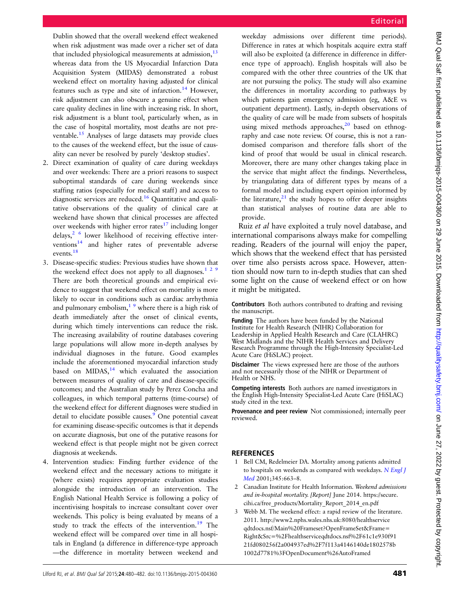<span id="page-1-0"></span>Dublin showed that the overall weekend effect weakened when risk adjustment was made over a richer set of data that included physiological measurements at admission,  $13$ whereas data from the US Myocardial Infarction Data Acquisition System (MIDAS) demonstrated a robust weekend effect on mortality having adjusted for clinical features such as type and site of infarction.<sup>[14](#page-2-0)</sup> However, risk adjustment can also obscure a genuine effect when care quality declines in line with increasing risk. In short, risk adjustment is a blunt tool, particularly when, as in the case of hospital mortality, most deaths are not preventable[.15](#page-2-0) Analyses of large datasets may provide clues to the causes of the weekend effect, but the issue of causality can never be resolved by purely 'desktop studies'.

- 2. Direct examination of quality of care during weekdays and over weekends: There are a priori reasons to suspect suboptimal standards of care during weekends since staffing ratios (especially for medical staff) and access to diagnostic services are reduced[.16](#page-2-0) Quantitative and qualitative observations of the quality of clinical care at weekend have shown that clinical processes are affected over weekends with higher error rates $17$  including longer delays,  $2<sup>6</sup>$  lower likelihood of receiving effective inter-ventions<sup>[14](#page-2-0)</sup> and higher rates of preventable adverse events.[18](#page-2-0)
- 3. Disease-specific studies: Previous studies have shown that the weekend effect does not apply to all diagnoses.<sup>12[9](#page-2-0)</sup> There are both theoretical grounds and empirical evidence to suggest that weekend effect on mortality is more likely to occur in conditions such as cardiac arrhythmia and pulmonary embolism, $19$  where there is a high risk of death immediately after the onset of clinical events, during which timely interventions can reduce the risk. The increasing availability of routine databases covering large populations will allow more in-depth analyses by individual diagnoses in the future. Good examples include the aforementioned myocardial infarction study based on  $MIDAS$ ,<sup>[14](#page-2-0)</sup> which evaluated the association between measures of quality of care and disease-specific outcomes; and the Australian study by Perez Concha and colleagues, in which temporal patterns (time-course) of the weekend effect for different diagnoses were studied in detail to elucidate possible causes.<sup>[9](#page-2-0)</sup> One potential caveat for examining disease-specific outcomes is that it depends on accurate diagnosis, but one of the putative reasons for weekend effect is that people might not be given correct diagnosis at weekends.
- 4. Intervention studies: Finding further evidence of the weekend effect and the necessary actions to mitigate it (where exists) requires appropriate evaluation studies alongside the introduction of an intervention. The English National Health Service is following a policy of incentivising hospitals to increase consultant cover over weekends. This policy is being evaluated by means of a study to track the effects of the intervention.<sup>[19](#page-2-0)</sup> The weekend effect will be compared over time in all hospitals in England (a difference in difference-type approach —the difference in mortality between weekend and

weekday admissions over different time periods). Difference in rates at which hospitals acquire extra staff will also be exploited (a difference in difference in difference type of approach). English hospitals will also be compared with the other three countries of the UK that are not pursuing the policy. The study will also examine the differences in mortality according to pathways by which patients gain emergency admission (eg, A&E vs outpatient department). Lastly, in-depth observations of the quality of care will be made from subsets of hospitals using mixed methods approaches, $20$  based on ethnography and case note review. Of course, this is not a randomised comparison and therefore falls short of the kind of proof that would be usual in clinical research. Moreover, there are many other changes taking place in the service that might affect the findings. Nevertheless, by triangulating data of different types by means of a formal model and including expert opinion informed by the literature, $21$  the study hopes to offer deeper insights than statistical analyses of routine data are able to provide.

Ruiz et al have exploited a truly novel database, and international comparisons always make for compelling reading. Readers of the journal will enjoy the paper, which shows that the weekend effect that has persisted over time also persists across space. However, attention should now turn to in-depth studies that can shed some light on the cause of weekend effect or on how it might be mitigated.

Contributors Both authors contributed to drafting and revising the manuscript.

Funding The authors have been funded by the National Institute for Health Research (NIHR) Collaboration for Leadership in Applied Health Research and Care (CLAHRC) West Midlands and the NIHR Health Services and Delivery Research Programme through the High-Intensity Specialist-Led Acute Care (HiSLAC) project.

Disclaimer The views expressed here are those of the authors and not necessarily those of the NIHR or Department of Health or NHS.

Competing interests Both authors are named investigators in the English High-Intensity Specialist-Led Acute Care (HiSLAC) study cited in the text.

Provenance and peer review Not commissioned; internally peer reviewed.

## **REFERENCES**

- Bell CM, Redelmeier DA. Mortality among patients admitted to hospitals on weekends as compared with weekdays. [N Engl J](http://dx.doi.org/10.1056/NEJMsa003376) [Med](http://dx.doi.org/10.1056/NEJMsa003376) 2001;345:663–8.
- 2 Canadian Institute for Health Information. Weekend admissions and in-hospital mortality. [Report] June 2014. [https://secure.](https://secure.cihi.ca/free_products/Mortality_Report_2014_en.pdf) [cihi.ca/free\\_products/Mortality\\_Report\\_2014\\_en.pdf](https://secure.cihi.ca/free_products/Mortality_Report_2014_en.pdf)
- 3 Webb M. The weekend effect: a rapid review of the literature. 2011. [http://www2.nphs.wales.nhs.uk:8080/healthservice](http://www2.nphs.wales.nhs.uk:8080/healthserviceqdtdocs.nsf/Main%20Frameset?OpenFrameSet&Frame=Right&Src=%2Fhealthserviceqdtdocs.nsf%2F61c1e930f9121fd080256f2a004937ed%2F7f113a4146140de1802578b1002d7781%3FOpenDocument%26AutoFramed) [qdtdocs.nsf/Main%20Frameset?OpenFrameSet&Frame=](http://www2.nphs.wales.nhs.uk:8080/healthserviceqdtdocs.nsf/Main%20Frameset?OpenFrameSet&Frame=Right&Src=%2Fhealthserviceqdtdocs.nsf%2F61c1e930f9121fd080256f2a004937ed%2F7f113a4146140de1802578b1002d7781%3FOpenDocument%26AutoFramed) [Right&Src=%2Fhealthserviceqdtdocs.nsf%2F61c1e930f91](http://www2.nphs.wales.nhs.uk:8080/healthserviceqdtdocs.nsf/Main%20Frameset?OpenFrameSet&Frame=Right&Src=%2Fhealthserviceqdtdocs.nsf%2F61c1e930f9121fd080256f2a004937ed%2F7f113a4146140de1802578b1002d7781%3FOpenDocument%26AutoFramed) [21fd080256f2a004937ed%2F7f113a4146140de1802578b](http://www2.nphs.wales.nhs.uk:8080/healthserviceqdtdocs.nsf/Main%20Frameset?OpenFrameSet&Frame=Right&Src=%2Fhealthserviceqdtdocs.nsf%2F61c1e930f9121fd080256f2a004937ed%2F7f113a4146140de1802578b1002d7781%3FOpenDocument%26AutoFramed) [1002d7781%3FOpenDocument%26AutoFramed](http://www2.nphs.wales.nhs.uk:8080/healthserviceqdtdocs.nsf/Main%20Frameset?OpenFrameSet&Frame=Right&Src=%2Fhealthserviceqdtdocs.nsf%2F61c1e930f9121fd080256f2a004937ed%2F7f113a4146140de1802578b1002d7781%3FOpenDocument%26AutoFramed)